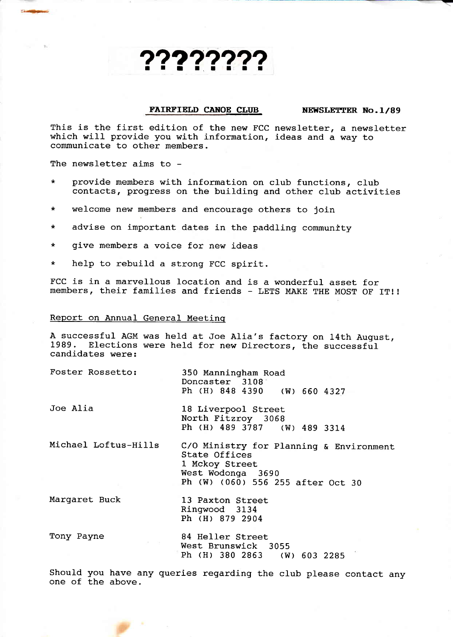# ???????

#### FAIRFIELD CANOE CLUB NEWSLETTER No.1/89

This is the first edition of the new FCC newsletter, a newsletter which will provide you with information, ideas and a way to communicate to other members.

The newsletter aims to -

- \* provide members with information on club functions, club contacts, progress on the building and other club activities
- \* welcome new members and encourage others to join
- \* advise on important dates in the paddling community
- \* give members a voice for new ideas
- \* help to rebuild a strong FCC spirit.

FCC is in a marvellous location and is a wonderful asset for members, their families and friends - LETS MAKE THE MOST OF IT! !

# Report on Annual General Meetinq

A successful AGM was held at Joe Alia's factory on 14th August, 1989. Elections were held for new Directors, the successful candidates were:

| Foster Rossetto:     | 350 Manningham Road<br>Doncaster 3108<br>Ph (H) 848 4390 (W) 660 4327                                                                |
|----------------------|--------------------------------------------------------------------------------------------------------------------------------------|
| Joe Alia             | 18 Liverpool Street<br>North Fitzroy 3068<br>Ph (H) 489 3787 (W) 489 3314                                                            |
| Michael Loftus-Hills | C/O Ministry for Planning & Environment<br>State Offices<br>1 Mckoy Street<br>West Wodonga 3690<br>Ph (W) (060) 556 255 after Oct 30 |
| Margaret Buck        | 13 Paxton Street<br>Ringwood 3134<br>Ph (H) 879 2904                                                                                 |
| Tony Payne           | 84 Heller Street<br>West Brunswick 3055                                                                                              |

Should you have any queries regarding the club please contact any one of the above.

Ph (H) 380 2863 (w) 603 <sup>2285</sup>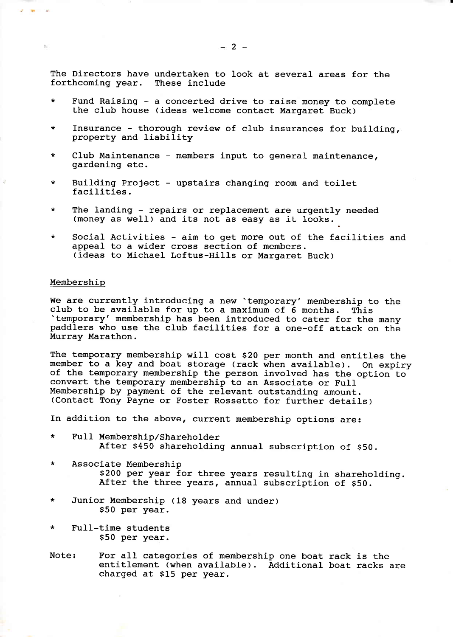The Directors have undertaken to look at several areas for the forthcoming year. These include

- Fund Raising a concerted drive to raise money to complete the club house (ideas welcome contact Margaret Buck)
- Insurance thorough review of club insurances for building, property and liability
- \* CIub Maintenance members input to general maintenance, gardening etc.
- Building Project upstairs changing room and toilet facilities.
- \* The landing repairs or replacement are urgently needed (money as well) and its not as easy as it Iooks.
- \* Social Activities aim to get more out of the facilities and<br>appeal to a wider cross section of members. (ideas to Michael Loftus-Hills or Margaret Buck) appeal to a wider cross section of members.

### Membership

We are currently introducing a new 'temporary' membership to the<br>club to be available for up to a maximum of 6 months. This<br>'temporary' membership has been introduced to cater for the many<br>paddlers who use the club facilit

The temporary membership will cost \$20 per month and entitles the member to a key and boat storage (rack when available). On expiry of the temporary membership the person involved has the option to<br>convert the temporary membership to an Associate or Full<br>Membership by payment of the relevant outstanding amount. (Contact Tony Payne or Foster Rossetto for further details)

In addition to the above, current membership options are:

- Full Membership/Shareholder<br>After \$450 shareholding annual subscription of \$50.
- \* Associate Membership \$200 per year for three years resulting in shareholding.<br>After the three years, annual subscription of \$50.
- \* Junior Membership (18 years and under) S50 per year.
- \* Full-time students S50 per year.
- Note: For all categories of membership one boat rack is the entitlement (when available). Additional boat racks are charged at S15 per year.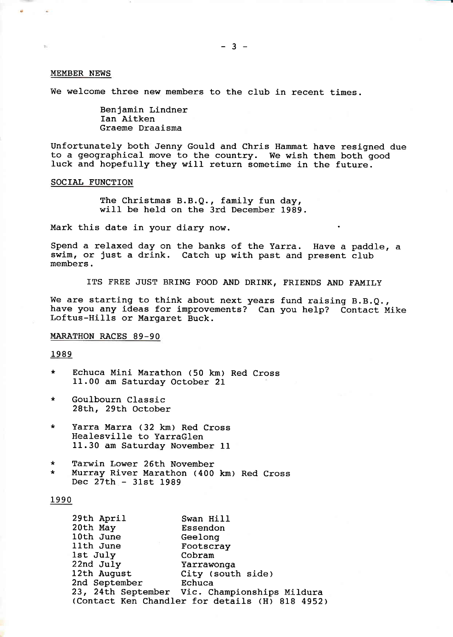#### MEMBER NEWS

We welcome three new members to the club in recent times.

Benjamin Lindner Ian Aitken Graeme Draaisma

Unfortunately both Jenny Gould and Chris Hammat have resigned due to a geographical move to the country. We wish them both good luck and hopefully they will return sometime in the future.

# SOCIAL FUNCTION

The Christmas B.B.Q., family fun day, will be held on the 3rd December 1989.

Mark this date in your diary now.

Spend a relaxed day on the banks of the Yarra. Have a paddle, <sup>a</sup> swim, or just a drink. Catch up with past and present club members.

ITS FREE JUST BRING FOOD AND DRINK, FRIENDS AND FAMILY

We are starting to think about next years fund raising B.B.Q., have you any ideas for improvements? Can you help? Contact Mike Loftus-Hills or Margaret Buck.

# MARATHON RACES 89-90

#### 1989

- \* Echuca Mini Marathon (50 km) Red Cross 11.00 am Saturday October <sup>21</sup>
- Goulbourn Classic<br>28th, 29th October
- \* Yarra Marra (32 km) Red Cross Healesville to YarraGlen 11.30 am Saturday November 11
- \* Tarwin Lower 26Lh November \* Murray River l{arathon (400 km) Red Cross Dec 27th - 31st 1989

# 1990

| 29th April    | Swan Hill                                       |
|---------------|-------------------------------------------------|
| 20th May      | Essendon                                        |
| 10th June     | Geelong                                         |
| 11th June     | Footscray                                       |
| 1st July      | Cobram                                          |
| 22nd July     | Yarrawonga                                      |
| 12th August   | City (south side)                               |
| 2nd September | Echuca                                          |
|               | 23, 24th September Vic. Championships Mildura   |
|               | (Contact Ken Chandler for details (H) 818 4952) |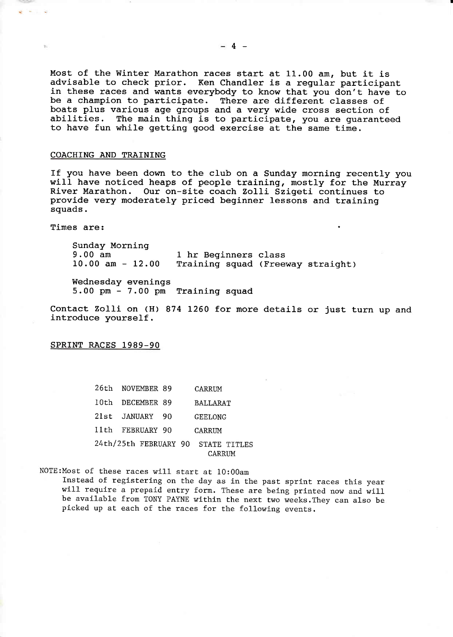Most of the Winter Marathon races start at 11.00 am, but it is<br>advisable to check prior. Ken Chandler is a regular participant<br>in these races and wants everybody to know that you don't have to<br>be a champion to participate. to have fun while getting good exercise at the same time.

# COACHING AND TRATNING

If you have been down to the club on a Sunday morning recently you<br>will have noticed heaps of people training, mostly for the Murray<br>River Marathon. Our on-site coach Zolli Szigeti continues to<br>provide very moderately pric squads.

Times are:

Sunday Morning<br>9.00 am 9.00 am 1 hr Beginners class<br>10.00 am - 12.00 Training squad (Free Training squad (Freeway straight)

Wednesday evenings 5.00 pm - 7.00 pm Training squad

Contact Zolli on (H) 874 1260 for more details or just turn up and introduce yourself.

SPRTNT RACES 1989-90

26th NOVEMBER 89 CARRUM loth DECEMBER 89 BALLARAT 2lst JANUARY 90 GEEIONG Ilth FEBRUARY 90 CARRIM 24th/25th FEBRUARY 90 STATE TITLES CARRIM

NOTE:Most of these races will start at 10:0Oam Instead of registering on the day as in the past sprint races this year<br>will require a prepaid entry form. These are being printed now and will be available from TONY PAYNE within the next two weeks.They can also be picked up at each of the races for the following events.